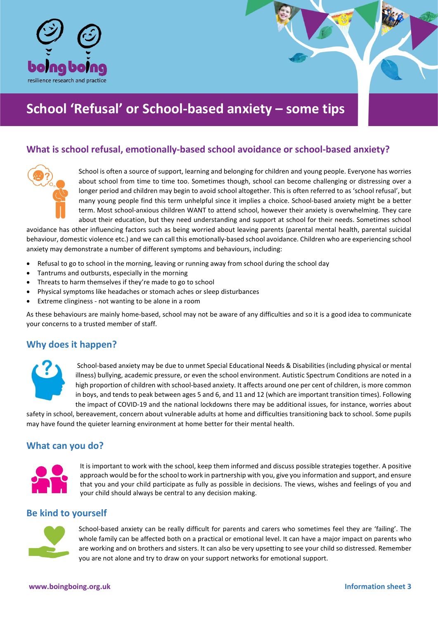

# **School 'Refusal' or School-based anxiety – some tips**

# **What is school refusal, emotionally-based school avoidance or school-based anxiety?**



School is often a source of support, learning and belonging for children and young people. Everyone has worries about school from time to time too. Sometimes though, school can become challenging or distressing over a longer period and children may begin to avoid school altogether. This is often referred to as 'school refusal', but many young people find this term unhelpful since it implies a choice. School-based anxiety might be a better term. Most school-anxious children WANT to attend school, however their anxiety is overwhelming. They care about their education, but they need understanding and support at school for their needs. Sometimes school

avoidance has other influencing factors such as being worried about leaving parents (parental mental health, parental suicidal behaviour, domestic violence etc.) and we can call this emotionally-based school avoidance. Children who are experiencing school anxiety may demonstrate a number of different symptoms and behaviours, including:

- Refusal to go to school in the morning, leaving or running away from school during the school day
- Tantrums and outbursts, especially in the morning
- Threats to harm themselves if they're made to go to school
- Physical symptoms like headaches or stomach aches or sleep disturbances
- Extreme clinginess not wanting to be alone in a room

As these behaviours are mainly home-based, school may not be aware of any difficulties and so it is a good idea to communicate your concerns to a trusted member of staff.

# **Why does it happen?**



School-based anxiety may be due to unmet Special Educational Needs & Disabilities (including physical or mental illness) bullying, academic pressure, or even the school environment. Autistic Spectrum Conditions are noted in a high proportion of children with school-based anxiety. It affects around one per cent of children, is more common in boys, and tends to peak between ages 5 and 6, and 11 and 12 (which are important transition times). Following the impact of COVID-19 and the national lockdowns there may be additional issues, for instance, worries about

safety in school, bereavement, concern about vulnerable adults at home and difficulties transitioning back to school. Some pupils may have found the quieter learning environment at home better for their mental health.

# **What can you do?**



It is important to work with the school, keep them informed and discuss possible strategies together. A positive approach would be for the school to work in partnership with you, give you information and support, and ensure that you and your child participate as fully as possible in decisions. The views, wishes and feelings of you and your child should always be central to any decision making.

# **Be kind to yourself**



School-based anxiety can be really difficult for parents and carers who sometimes feel they are 'failing'. The whole family can be affected both on a practical or emotional level. It can have a major impact on parents who are working and on brothers and sisters. It can also be very upsetting to see your child so distressed. Remember you are not alone and try to draw on your support networks for emotional support.